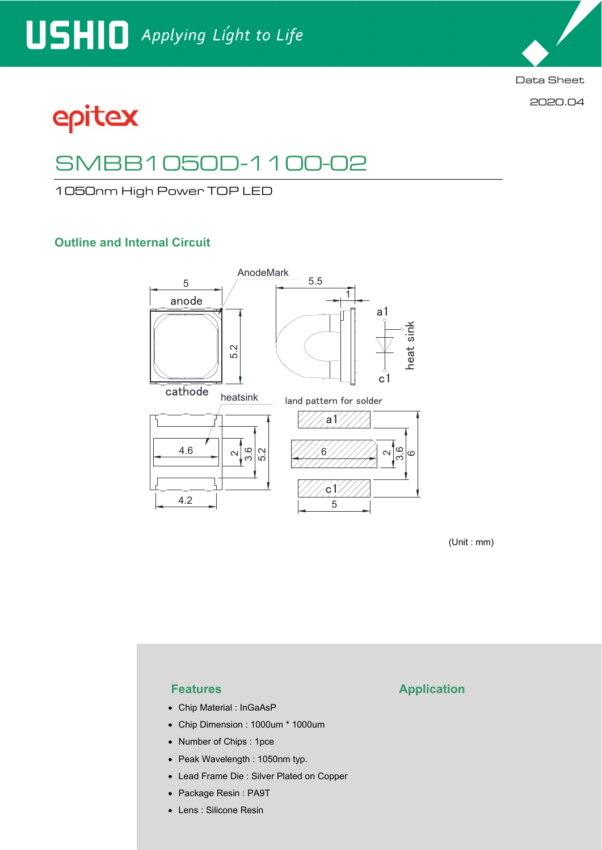

2020.04

epitex

# SMBB1050D-1100-02

1050nm High Power TOP LED

## **Outline and Internal Circuit**



(Unit : mm)

- Chip Material : InGaAsP
- Chip Dimension : 1000um \* 1000um
- Number of Chips : 1pce
- Peak Wavelength : 1050nm typ.
- Lead Frame Die : Silver Plated on Copper
- Package Resin : PA9T
- Lens : Silicone Resin

### **Features Application**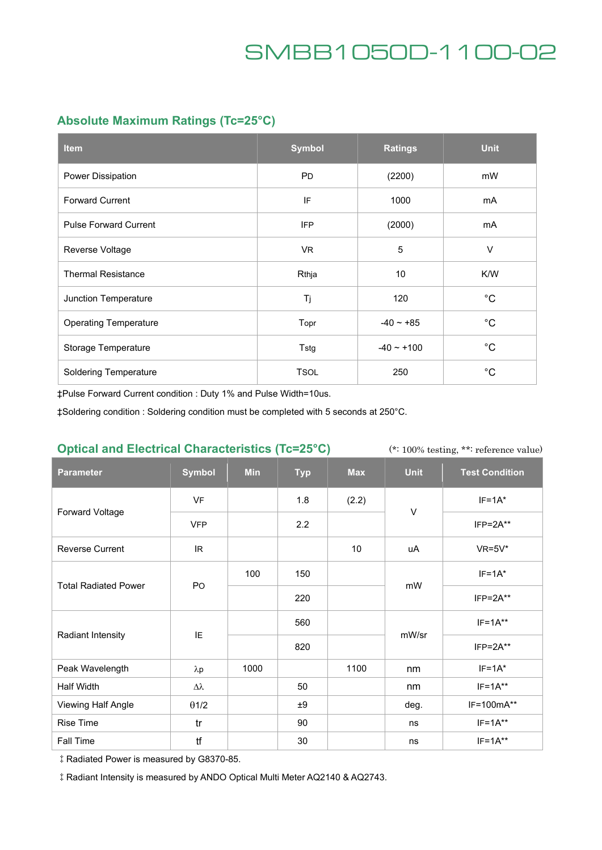## **Absolute Maximum Ratings (Tc=25°C)**

| <b>Item</b>                  | <b>Symbol</b> | <b>Ratings</b> | <b>Unit</b> |
|------------------------------|---------------|----------------|-------------|
| Power Dissipation            | <b>PD</b>     | (2200)         | mW          |
| <b>Forward Current</b>       | IF            | 1000           | mA          |
| <b>Pulse Forward Current</b> | <b>IFP</b>    | (2000)         | mA          |
| Reverse Voltage              | VR.           | 5              | V           |
| <b>Thermal Resistance</b>    | Rthja         | 10             | K/W         |
| Junction Temperature         | Tj            | 120            | $^{\circ}C$ |
| <b>Operating Temperature</b> | Topr          | $-40 - +85$    | $^{\circ}C$ |
| Storage Temperature          | Tstg          | $-40 - +100$   | $^{\circ}C$ |
| <b>Soldering Temperature</b> | <b>TSOL</b>   | 250            | $^{\circ}C$ |

‡Pulse Forward Current condition : Duty 1% and Pulse Width=10us.

‡Soldering condition : Soldering condition must be completed with 5 seconds at 250°C.

### **Optical and Electrical Characteristics (Tc=25°C)**

(\*: 100% testing, \*\*: reference value)

| <b>Parameter</b>            | <b>Symbol</b> | <b>Min</b> | <b>Typ</b> | <b>Max</b> | <b>Unit</b> | <b>Test Condition</b> |
|-----------------------------|---------------|------------|------------|------------|-------------|-----------------------|
| Forward Voltage             | VF            |            | 1.8        | (2.2)      | $\vee$      | $IF=1A*$              |
|                             | <b>VFP</b>    |            | 2.2        |            |             | $IFP = 2A**$          |
| <b>Reverse Current</b>      | IR.           |            |            | 10         | uA          | $VR=5V*$              |
| <b>Total Radiated Power</b> | PO            | 100        | 150        |            | mW          | $IF=1A*$              |
|                             |               |            | 220        |            |             | $IFP = 2A**$          |
| Radiant Intensity           | IE            |            | 560        |            | mW/sr       | $IF=1A***$            |
|                             |               |            | 820        |            |             | $IFP = 2A**$          |
| Peak Wavelength             | $\lambda p$   | 1000       |            | 1100       | nm          | $IF=1A*$              |
| Half Width                  | Δλ            |            | 50         |            | nm          | $IF=1A**$             |
| Viewing Half Angle          | $\theta$ 1/2  |            | ±9         |            | deg.        | IF=100mA**            |
| Rise Time                   | tr            |            | 90         |            | ns          | $IF=1A**$             |
| Fall Time                   | tf            |            | 30         |            | ns          | $IF=1A**$             |

‡Radiated Power is measured by G8370-85.

‡Radiant Intensity is measured by ANDO Optical Multi Meter AQ2140 & AQ2743.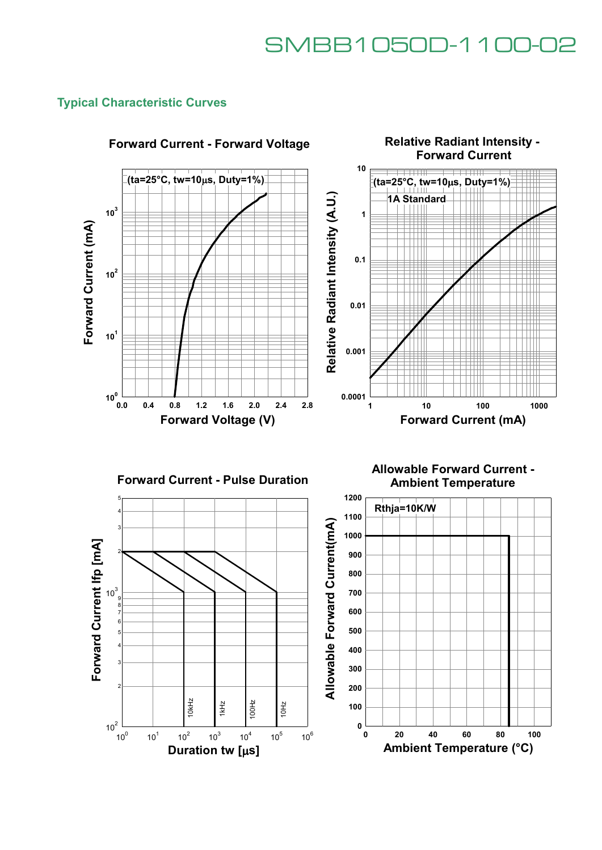### **Typical Characteristic Curves**



## **Forward Current - Forward Voltage**





**Allowable Forward Current - Ambient Temperature**

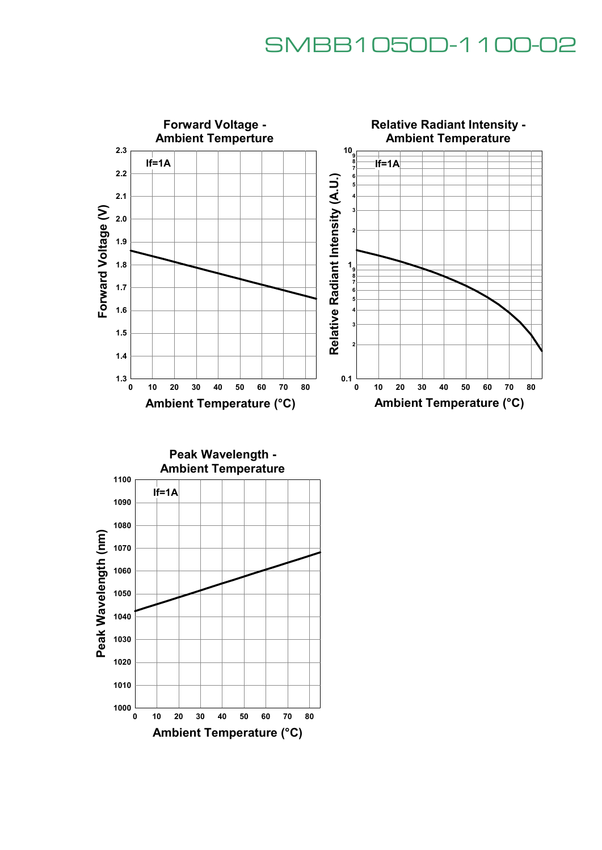

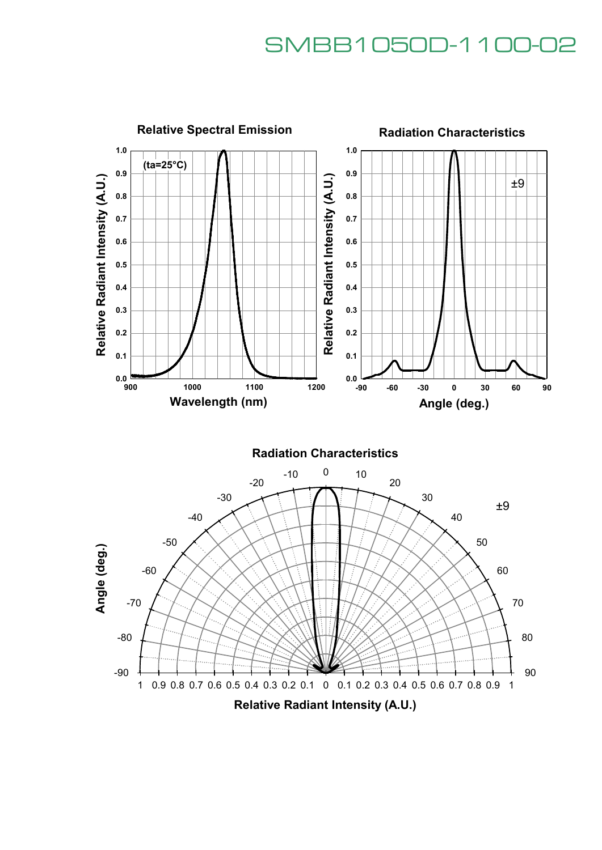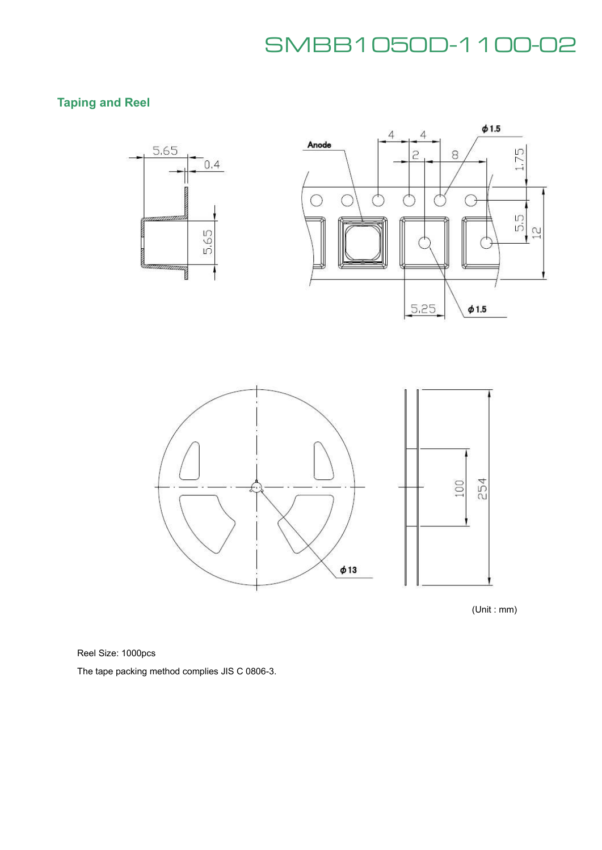## **Taping and Reel**



(Unit : mm)

Reel Size: 1000pcs

The tape packing method complies JIS C 0806-3.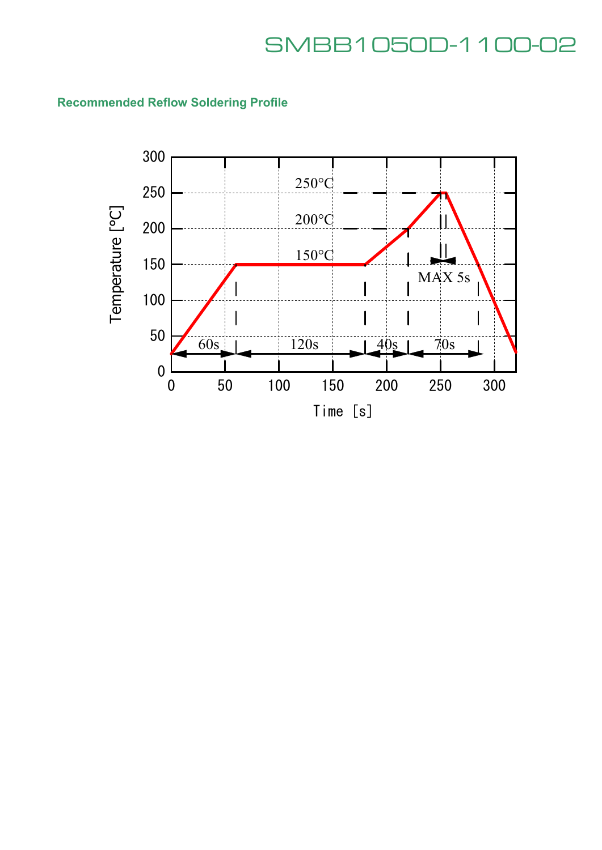## **Recommended Reflow Soldering Profile**

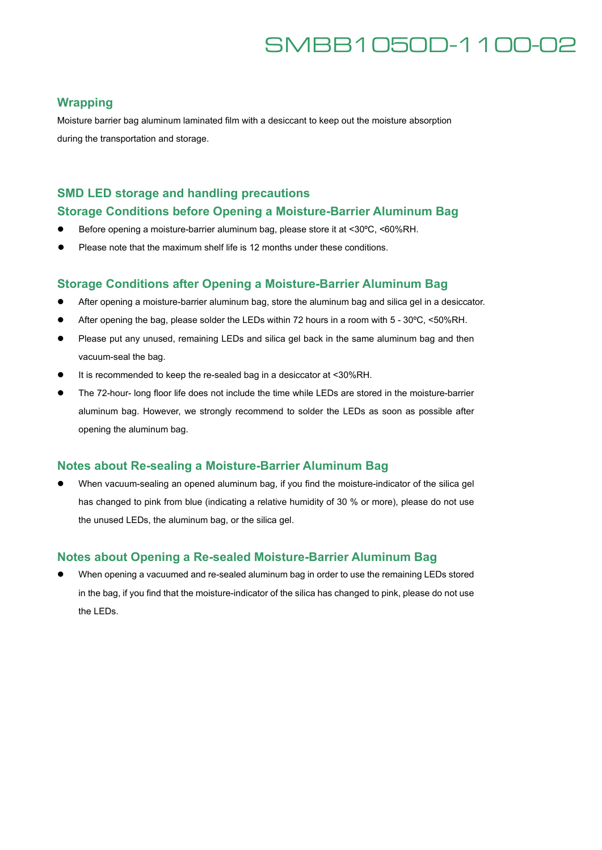### **Wrapping**

Moisture barrier bag aluminum laminated film with a desiccant to keep out the moisture absorption during the transportation and storage.

### **SMD LED storage and handling precautions**

### **Storage Conditions before Opening a Moisture-Barrier Aluminum Bag**

- Before opening a moisture-barrier aluminum bag, please store it at <30°C, <60%RH.
- Please note that the maximum shelf life is 12 months under these conditions.

#### **Storage Conditions after Opening a Moisture-Barrier Aluminum Bag**

- After opening a moisture-barrier aluminum bag, store the aluminum bag and silica gel in a desiccator.
- After opening the bag, please solder the LEDs within 72 hours in a room with 5 30°C, <50%RH.
- Please put any unused, remaining LEDs and silica gel back in the same aluminum bag and then vacuum-seal the bag.
- It is recommended to keep the re-sealed bag in a desiccator at <30%RH.
- The 72-hour- long floor life does not include the time while LEDs are stored in the moisture-barrier aluminum bag. However, we strongly recommend to solder the LEDs as soon as possible after opening the aluminum bag.

### **Notes about Re-sealing a Moisture-Barrier Aluminum Bag**

 When vacuum-sealing an opened aluminum bag, if you find the moisture-indicator of the silica gel has changed to pink from blue (indicating a relative humidity of 30 % or more), please do not use the unused LEDs, the aluminum bag, or the silica gel.

### **Notes about Opening a Re-sealed Moisture-Barrier Aluminum Bag**

 When opening a vacuumed and re-sealed aluminum bag in order to use the remaining LEDs stored in the bag, if you find that the moisture-indicator of the silica has changed to pink, please do not use the LEDs.